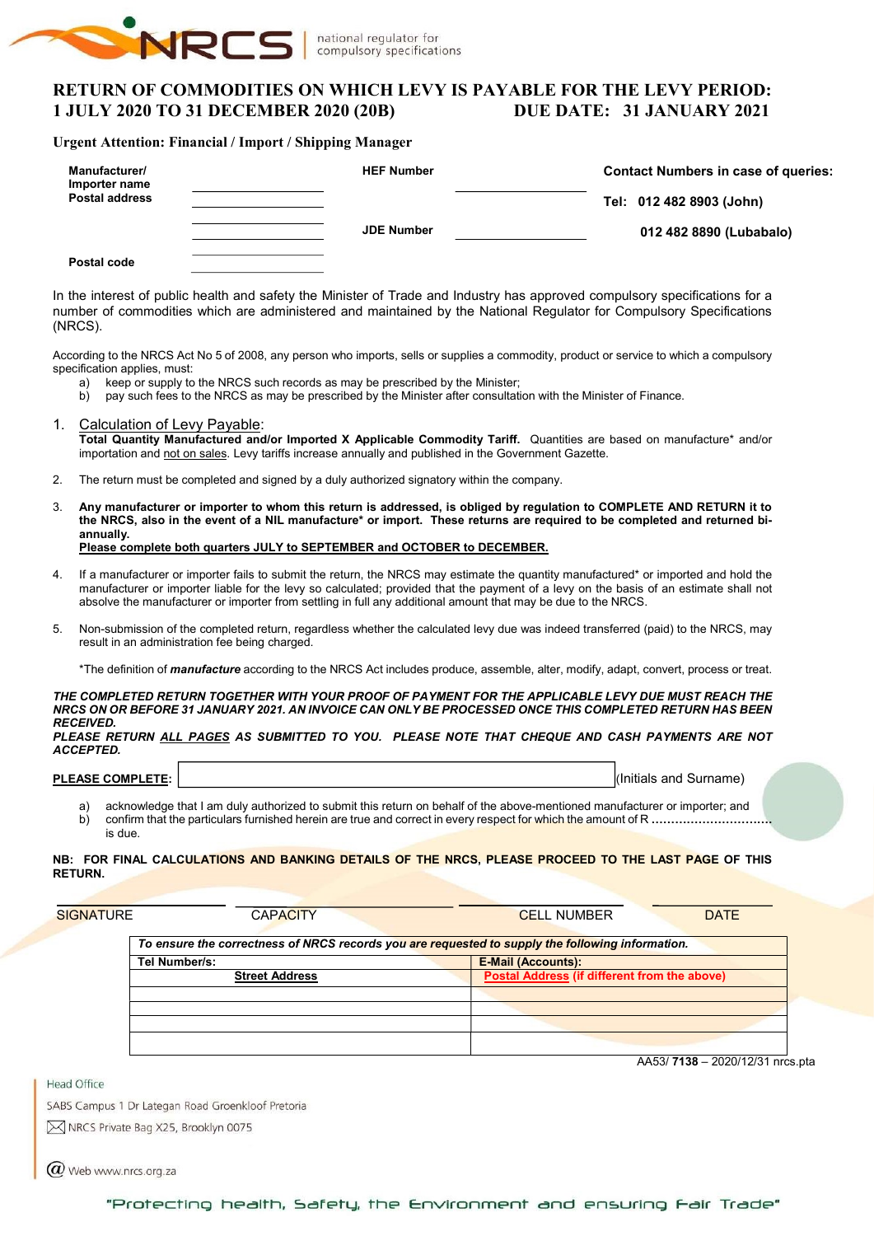

## RETURN OF COMMODITIES ON WHICH LEVY IS PAYABLE FOR THE LEVY PERIOD: 1 JULY 2020 TO 31 DECEMBER 2020 (20B) DUE DATE: 31 JANUARY 2021

#### Urgent Attention: Financial / Import / Shipping Manager

| Manufacturer/<br>Importer name | <b>HEF Number</b> | <b>Contact Numbers in case of queries:</b> |  |  |  |  |
|--------------------------------|-------------------|--------------------------------------------|--|--|--|--|
| <b>Postal address</b>          |                   | Tel: 012 482 8903 (John)                   |  |  |  |  |
|                                | <b>JDE Number</b> | 012 482 8890 (Lubabalo)                    |  |  |  |  |
| Postal code                    |                   |                                            |  |  |  |  |

In the interest of public health and safety the Minister of Trade and Industry has approved compulsory specifications for a number of commodities which are administered and maintained by the National Regulator for Compulsory Specifications (NRCS).

According to the NRCS Act No 5 of 2008, any person who imports, sells or supplies a commodity, product or service to which a compulsory specification applies, must:

- a) keep or supply to the NRCS such records as may be prescribed by the Minister;
- b) pay such fees to the NRCS as may be prescribed by the Minister after consultation with the Minister of Finance.
- 1. Calculation of Levy Payable: Total Quantity Manufactured and/or Imported X Applicable Commodity Tariff. Quantities are based on manufacture\* and/or importation and not on sales. Levy tariffs increase annually and published in the Government Gazette.
- 2. The return must be completed and signed by a duly authorized signatory within the company.
- 3. Any manufacturer or importer to whom this return is addressed, is obliged by regulation to COMPLETE AND RETURN it to the NRCS, also in the event of a NIL manufacture\* or import. These returns are required to be completed and returned biannually. Please complete both quarters JULY to SEPTEMBER and OCTOBER to DECEMBER.
- If a manufacturer or importer fails to submit the return, the NRCS may estimate the quantity manufactured\* or imported and hold the manufacturer or importer liable for the levy so calculated; provided that the payment of a levy on the basis of an estimate shall not absolve the manufacturer or importer from settling in full any additional amount that may be due to the NRCS.
- 5. Non-submission of the completed return, regardless whether the calculated levy due was indeed transferred (paid) to the NRCS, may result in an administration fee being charged.

\*The definition of *manufacture* according to the NRCS Act includes produce, assemble, alter, modify, adapt, convert, process or treat.

THE COMPLETED RETURN TOGETHER WITH YOUR PROOF OF PAYMENT FOR THE APPLICABLE LEVY DUE MUST REACH THE NRCS ON OR BEFORE 31 JANUARY 2021. AN INVOICE CAN ONLY BE PROCESSED ONCE THIS COMPLETED RETURN HAS BEEN **RECEIVED.** 

PLEASE RETURN ALL PAGES AS SUBMITTED TO YOU. PLEASE NOTE THAT CHEQUE AND CASH PAYMENTS ARE NOT ACCEPTED.

#### PLEASE COMPLETE: I, it is a surname) in the set of the set of the set of the set of the set of the set of the set of the set of the set of the set of the set of the set of the set of the set of the set of the set of the se

a) acknowledge that I am duly authorized to submit this return on behalf of the above-mentioned manufacturer or importer; and b) confirm that the particulars furnished herein are true and correct in every respect for which the amount of R ……………………… is due.

#### NB: FOR FINAL CALCULATIONS AND BANKING DETAILS OF THE NRCS, PLEASE PROCEED TO THE LAST PAGE OF THIS RETURN.

| <b>SIGNATURE</b> | <b>CAPACITY</b>                                                                                  | <b>DATE</b><br><b>CELL NUMBER</b>                   |
|------------------|--------------------------------------------------------------------------------------------------|-----------------------------------------------------|
|                  | To ensure the correctness of NRCS records you are requested to supply the following information. |                                                     |
|                  | Tel Number/s:                                                                                    | <b>E-Mail (Accounts):</b>                           |
|                  | <b>Street Address</b>                                                                            | <b>Postal Address (if different from the above)</b> |
|                  |                                                                                                  |                                                     |
|                  |                                                                                                  |                                                     |
|                  |                                                                                                  |                                                     |
|                  |                                                                                                  |                                                     |
|                  |                                                                                                  |                                                     |

AA53/ 7138 – 2020/12/31 nrcs.pta

**Head Office** 

SABS Campus 1 Dr Lategan Road Groenkloof Pretoria M NRCS Private Bag X25, Brooklyn 0075

 $\omega$  Web www.nrcs.org.za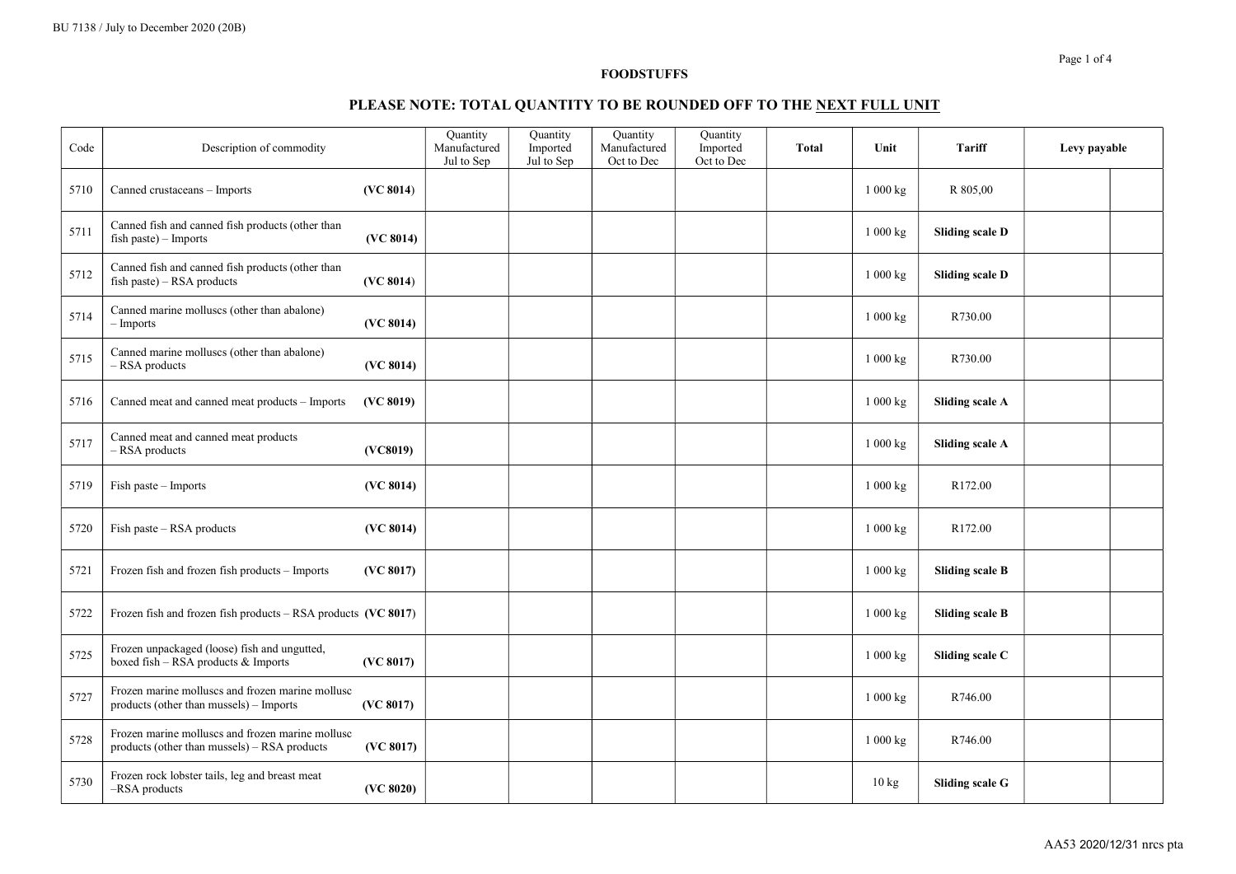## PLEASE NOTE: TOTAL QUANTITY TO BE ROUNDED OFF TO THE NEXT FULL UNIT

| Code | Description of commodity                                                                         |           | <b>Quantity</b><br>Manufactured<br>Jul to Sep | <b>Quantity</b><br>Imported<br>Jul to Sep | <b>Quantity</b><br>Manufactured<br>Oct to Dec | Quantity<br>Imported<br>Oct to Dec | Total | Unit                  | <b>Tariff</b>          | Levy payable |  |
|------|--------------------------------------------------------------------------------------------------|-----------|-----------------------------------------------|-------------------------------------------|-----------------------------------------------|------------------------------------|-------|-----------------------|------------------------|--------------|--|
| 5710 | Canned crustaceans - Imports                                                                     | (VC 8014) |                                               |                                           |                                               |                                    |       | 1 000 kg              | R 805,00               |              |  |
| 5711 | Canned fish and canned fish products (other than<br>fish paste) $-$ Imports                      | (VC 8014) |                                               |                                           |                                               |                                    |       | $1\ 000\ \mathrm{kg}$ | <b>Sliding scale D</b> |              |  |
| 5712 | Canned fish and canned fish products (other than<br>fish paste) - RSA products                   | (VC 8014) |                                               |                                           |                                               |                                    |       | 1 000 kg              | <b>Sliding scale D</b> |              |  |
| 5714 | Canned marine molluscs (other than abalone)<br>– Imports                                         | (VC 8014) |                                               |                                           |                                               |                                    |       | $1\ 000\ \mathrm{kg}$ | R730.00                |              |  |
| 5715 | Canned marine molluscs (other than abalone)<br>- RSA products                                    | (VC 8014) |                                               |                                           |                                               |                                    |       | 1 000 kg              | R730.00                |              |  |
| 5716 | Canned meat and canned meat products - Imports                                                   | (VC 8019) |                                               |                                           |                                               |                                    |       | 1 000 kg              | <b>Sliding scale A</b> |              |  |
| 5717 | Canned meat and canned meat products<br>- RSA products                                           | (VC8019)  |                                               |                                           |                                               |                                    |       | 1 000 kg              | <b>Sliding scale A</b> |              |  |
| 5719 | Fish paste – Imports                                                                             | (VC 8014) |                                               |                                           |                                               |                                    |       | 1000 kg               | R172.00                |              |  |
| 5720 | Fish paste - RSA products                                                                        | (VC 8014) |                                               |                                           |                                               |                                    |       | 1 000 kg              | R172.00                |              |  |
| 5721 | Frozen fish and frozen fish products - Imports                                                   | (VC 8017) |                                               |                                           |                                               |                                    |       | 1 000 kg              | <b>Sliding scale B</b> |              |  |
| 5722 | Frozen fish and frozen fish products - RSA products (VC 8017)                                    |           |                                               |                                           |                                               |                                    |       | 1 000 kg              | <b>Sliding scale B</b> |              |  |
| 5725 | Frozen unpackaged (loose) fish and ungutted,<br>boxed fish - RSA products & Imports              | (VC 8017) |                                               |                                           |                                               |                                    |       | 1 000 kg              | Sliding scale C        |              |  |
| 5727 | Frozen marine molluscs and frozen marine mollusc<br>products (other than mussels) - Imports      | (VC 8017) |                                               |                                           |                                               |                                    |       | 1 000 kg              | R746.00                |              |  |
| 5728 | Frozen marine molluscs and frozen marine mollusc<br>products (other than mussels) - RSA products | (VC 8017) |                                               |                                           |                                               |                                    |       | 1 000 kg              | R746.00                |              |  |
| 5730 | Frozen rock lobster tails, leg and breast meat<br>-RSA products                                  | (VC 8020) |                                               |                                           |                                               |                                    |       | 10 kg                 | Sliding scale G        |              |  |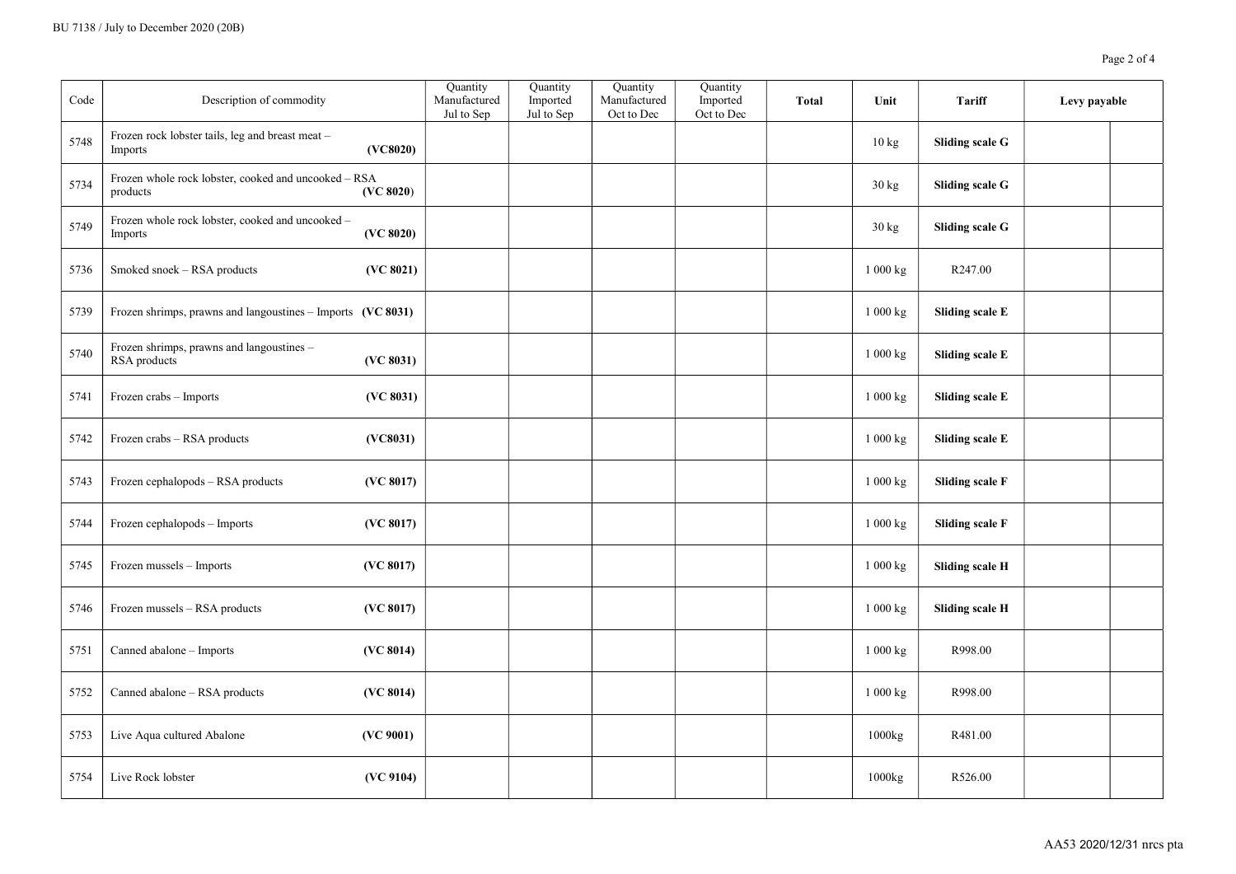| Code | Description of commodity                                         |           | Quantity<br>Manufactured<br>Jul to Sep | Quantity<br>Imported<br>Jul to Sep | Quantity<br>Manufactured<br>Oct to Dec | Quantity<br>Imported<br>Oct to Dec | <b>Total</b> | Unit              | <b>Tariff</b>          | Levy payable |  |
|------|------------------------------------------------------------------|-----------|----------------------------------------|------------------------------------|----------------------------------------|------------------------------------|--------------|-------------------|------------------------|--------------|--|
| 5748 | Frozen rock lobster tails, leg and breast meat -<br>Imports      | (VC8020)  |                                        |                                    |                                        |                                    |              | $10\,\mathrm{kg}$ | Sliding scale G        |              |  |
| 5734 | Frozen whole rock lobster, cooked and uncooked - RSA<br>products | (VC 8020) |                                        |                                    |                                        |                                    |              | 30 kg             | Sliding scale G        |              |  |
| 5749 | Frozen whole rock lobster, cooked and uncooked -<br>Imports      | (VC 8020) |                                        |                                    |                                        |                                    |              | 30 kg             | Sliding scale G        |              |  |
| 5736 | Smoked snoek - RSA products                                      | (VC 8021) |                                        |                                    |                                        |                                    |              | 1 000 kg          | R247.00                |              |  |
| 5739 | Frozen shrimps, prawns and langoustines - Imports (VC 8031)      |           |                                        |                                    |                                        |                                    |              | 1 000 kg          | Sliding scale E        |              |  |
| 5740 | Frozen shrimps, prawns and langoustines -<br>RSA products        | (VC 8031) |                                        |                                    |                                        |                                    |              | 1 000 kg          | Sliding scale E        |              |  |
| 5741 | Frozen crabs - Imports                                           | (VC 8031) |                                        |                                    |                                        |                                    |              | 1 000 kg          | Sliding scale E        |              |  |
| 5742 | Frozen crabs - RSA products                                      | (VC8031)  |                                        |                                    |                                        |                                    |              | 1 000 kg          | <b>Sliding scale E</b> |              |  |
| 5743 | Frozen cephalopods - RSA products                                | (VC 8017) |                                        |                                    |                                        |                                    |              | 1 000 kg          | <b>Sliding scale F</b> |              |  |
| 5744 | Frozen cephalopods - Imports                                     | (VC 8017) |                                        |                                    |                                        |                                    |              | 1 000 kg          | <b>Sliding scale F</b> |              |  |
| 5745 | Frozen mussels - Imports                                         | (VC 8017) |                                        |                                    |                                        |                                    |              | $1\ 000$ kg       | Sliding scale H        |              |  |
| 5746 | Frozen mussels - RSA products                                    | (VC 8017) |                                        |                                    |                                        |                                    |              | 1 000 kg          | <b>Sliding scale H</b> |              |  |
| 5751 | Canned abalone - Imports                                         | (VC 8014) |                                        |                                    |                                        |                                    |              | 1000 kg           | R998.00                |              |  |
| 5752 | Canned abalone - RSA products                                    | (VC 8014) |                                        |                                    |                                        |                                    |              | 1 000 kg          | R998.00                |              |  |
| 5753 | Live Aqua cultured Abalone                                       | (VC 9001) |                                        |                                    |                                        |                                    |              | 1000kg            | R481.00                |              |  |
| 5754 | Live Rock lobster                                                | (VC 9104) |                                        |                                    |                                        |                                    |              | 1000kg            | R526.00                |              |  |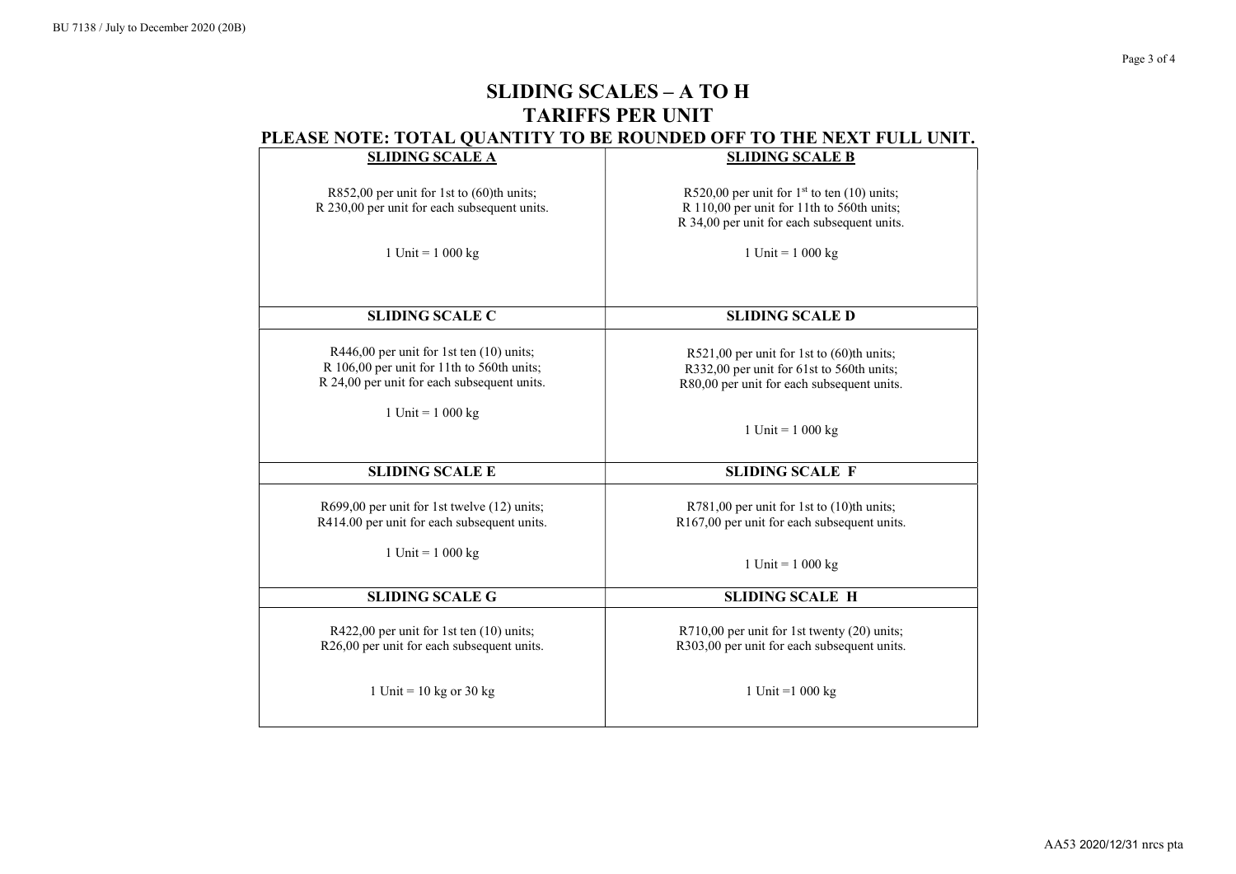| <b>SLIDING SCALE A</b>                                                                                                                                                | <b>SLIDING SCALE B</b>                                                                                                                     |
|-----------------------------------------------------------------------------------------------------------------------------------------------------------------------|--------------------------------------------------------------------------------------------------------------------------------------------|
| R852,00 per unit for 1st to (60)th units;<br>R 230,00 per unit for each subsequent units.                                                                             | R520,00 per unit for $1st$ to ten (10) units;<br>R 110,00 per unit for 11th to 560th units;<br>R 34,00 per unit for each subsequent units. |
| 1 Unit = $1\ 000 \text{ kg}$                                                                                                                                          | 1 Unit = $1000 \text{ kg}$                                                                                                                 |
| <b>SLIDING SCALE C</b>                                                                                                                                                | <b>SLIDING SCALE D</b>                                                                                                                     |
| R446,00 per unit for 1st ten (10) units;<br>R 106,00 per unit for 11th to 560th units;<br>R 24,00 per unit for each subsequent units.<br>1 Unit = $1\ 000 \text{ kg}$ | R521,00 per unit for 1st to (60)th units;<br>R332,00 per unit for 61st to 560th units;<br>R80,00 per unit for each subsequent units.       |
|                                                                                                                                                                       | 1 Unit = $1000 kg$                                                                                                                         |
| <b>SLIDING SCALE E</b>                                                                                                                                                | <b>SLIDING SCALE F</b>                                                                                                                     |
| R699,00 per unit for 1st twelve (12) units;<br>R414.00 per unit for each subsequent units.                                                                            | $R781,00$ per unit for 1st to $(10)$ th units;<br>R167,00 per unit for each subsequent units.                                              |
| 1 Unit = $1000 kg$                                                                                                                                                    | 1 Unit = $1000 kg$                                                                                                                         |
| <b>SLIDING SCALE G</b>                                                                                                                                                | <b>SLIDING SCALE H</b>                                                                                                                     |
| R422,00 per unit for 1st ten (10) units;<br>R26,00 per unit for each subsequent units.                                                                                | R710,00 per unit for 1st twenty (20) units;<br>R303,00 per unit for each subsequent units.                                                 |
| 1 Unit = $10$ kg or $30$ kg                                                                                                                                           | 1 Unit = $1000 \text{ kg}$                                                                                                                 |